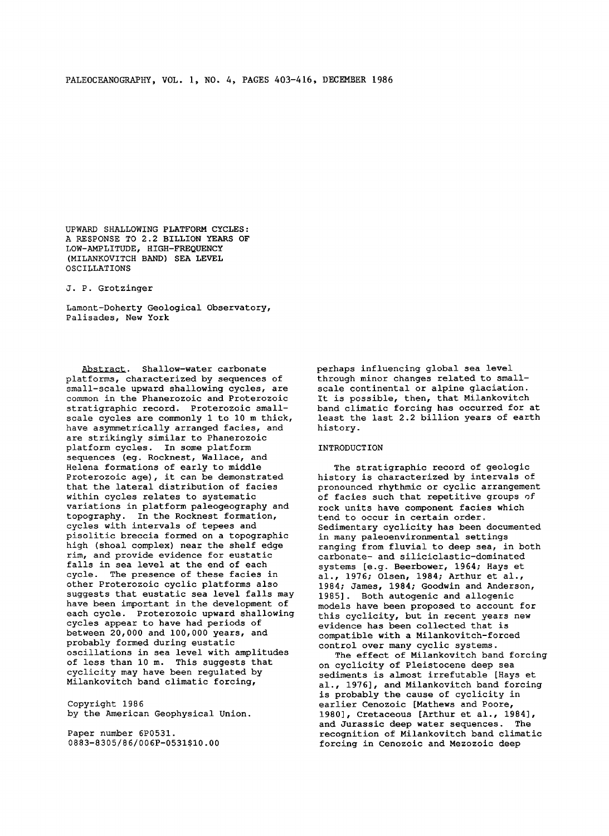**UPWARD SHALLOWING PLATFORM CYCLES: A RESPONSE TO 2.2 BILLION YEARS OF LOW-AMPLITUDE, HIGH-FREQUENCY (MILANKOVITCH BAND) SEA LEVEL OSCILLATIONS** 

**J. P. Grotzinger** 

**Lamont-Doherty Geological Observatory, Palisades, New York** 

**Abstract. Shallow-water carbonate platforms, characterized by sequences of small-scale upward shallowing cycles, are common in the Phanerozoic and Proterozoic stratigraphic record. Proterozoic smallscale cycles are commonly 1 to 10 m thick, have asymmetrically arranged facies, and are strikingly similar to Phanerozoic platform cycles. In some platform sequences (eg. Rocknest, Wallace, and Helena formations of early to middle Proterozoic age), it can be demonstrated that the lateral distribution of facies within cycles relates to systematic variations in platform paleogeography and topography. In the Rocknest formation, cycles with intervals of tepees and pisolitic breccia formed on a topographic high (shoal complex) near the shelf edge rim, and provide evidence for eustatic falls in sea level at the end of each cycle. The presence of these facies in other Proterozoic cyclic platforms also suggests that eustatic sea level falls may have been important in the development of each cycle. Proterozoic upward shallowing cycles appear to have had periods of between 20,000 and 100,000 years, and probably formed during eustatic oscillations in sea level with amplitudes of less than 10 m. This suggests that cyclicity may have been regulated by Milankovitch band climatic forcing,** 

**Copyright 1986 by the American Geophysical Union.** 

**Paper number 6P0531. 0883-8305/86/006P-0531510.00**  **perhaps influencing global sea level through minor changes related to smallscale continental or alpine glaciation. It is possible, then, that Milankovitch band climatic forcing has occurred for at least the last 2.2 billion years of earth history.** 

## **INTRODUCTION**

**The stratigraphic record of geologic history is characterized by intervals of pronounced rhythmic or cyclic arrangement of facies such that repetitive groups of rock units have component facies which tend to occur in certain order. Sedimentary cyclicity has been documented in many paleoenvironmental settings ranging from fluvial to deep sea, in both carbonate- and siliciclastic-dominated systems [e.g. Beerbower, 1964; Hays et al., 1976; Olsen, 1984; Arthur et al., 1984; James, 1984; Goodwin and Anderson, 1985]. Both autogenic and allogenic models have been proposed to account for this cyclicity, but in recent years new evidence has been collected that is compatible with a Milankovitch-forced control over many cyclic systems.** 

**The effect of Milankovitch band forcing on cyclicity of Pleistocene deep sea sediments is almost irrefutable [Hays et al., 1976], and Milankovitch band forcing is probably the cause of cyclicity in earlier Cenozoic [Mathews and Poore, 1980], Cretaceous [Arthur et al., 1984], and Jurassic deep water sequences. The recognition of Milankovitch band climatic forcing in Cenozoic and Mezozoic deep**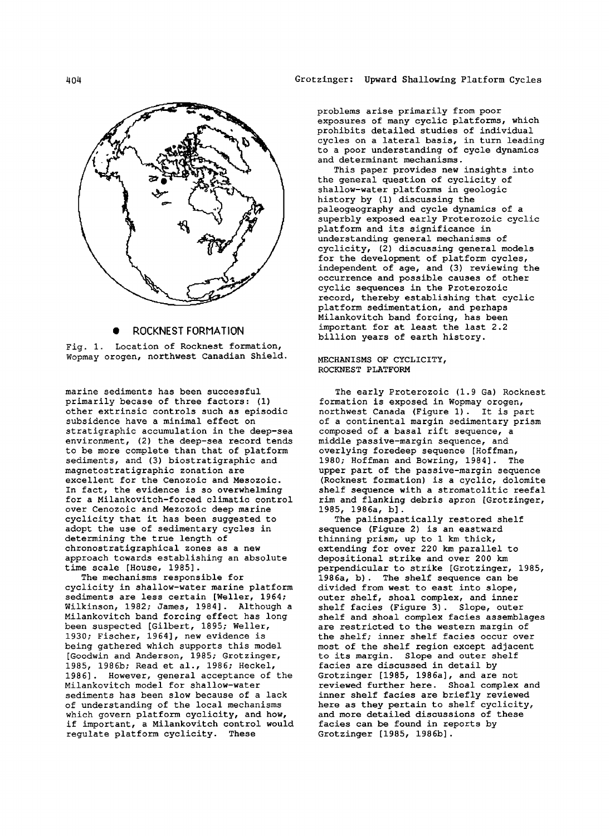

# **J ROCKNEST FORMATION**

**Fig. 1. Location of Rocknest formation, Wopmay orogen, northwest Canadian Shield.** 

**marine sediments has been successful primarily becase of three factors: (1) other extrinsic controls such as episodic subsidence have a minimal effect on stratigraphic accumulation in the deep-sea environment, (2) the deep-sea record tends to be more complete than that of platform sediments, and (3) biostratigraphic and magnetostratigraphic zonation are excellent for the Cenozoic and Mesozoic. In fact, the evidence is so overwhelming for a Milankovitch-forced climatic control over Cenozoic and Mezozoic deep marine cyclicity that it has been suggested to adopt the use of sedimentary cycles in determining the true length of chronostratigraphical zones as a new approach towards establishing an absolute time scale [House, 1985].** 

**The mechanisms responsible for cyclicity in shallow-water marine platform sediments are less certain [Weller, 1964; Wilkinson, 1982; James, 1984]. Although a Milankovitch band forcing effect has long been suspected [Gilbert, 1895; Weller, 1930; Fischer, 1964], new evidence is being gathered which supports this model [Goodwin and Anderson, 1985; Grotzinger, 1985, 1986b; Read et al., 1986; Heckel, 1986]. However, general acceptance of the Milankovitch model for shallow-water sediments has been slow because of a lack of understanding of the local mechanisms which govern platform cyclicity, and how, if important, a Milankovitch control would regulate platform cyclicity. These** 

**problems arise primarily from poor exposures of many cyclic platforms, which prohibits detailed studies of individual cycles on a lateral basis, in turn leading to a poor understanding of cycle dynamics and determinant mechanisms.** 

**This paper provides new insights into the general question of cyclicity of shallow-water platforms in geologic history by (1) discussing the paleogeography and cycle dynamics of a superbly exposed early Proterozoic cyclic platform and its significance in understanding general mechanisms of cyclicity, (2) discussing general models for the development of platform cycles, independent of age, and (3) reviewing the occurrence and possible causes of other cyclic sequences in the Proterozoic record, thereby establishing that cyclic platform sedimentation, and perhaps Milankovitch band forcing, has been important for at least the last 2.2 billion years of earth history.** 

## **MECHANISMS OF CYCLICITY, ROCKNEST PLATFORM**

**The early Proterozoic (1.9 Ga) Rocknest formation is exposed in Wopmay orogen, northwest Canada (Figure 1). It is part of a continental margin sedimentary prism composed of a basal rift sequence, a middle passive-margin sequence, and overlying foredeep sequence [Hoffman, 1980; Hoffman and Bowring, 1984]. The upper part of the passive-margin sequence (Rocknest formation) is a cyclic, dolomite shelf sequence with a stromatolitic reefal rim and flanking debris apron [Grotzinger, 1985, 1986a, b].** 

**The palinspastically restored shelf sequence (Figure 2) is an eastward thinning prism, up to 1 km thick, extending for over 220 km parallel to depositional strike and over 200 km perpendicular to strike [Grotzinger, 1985, 1986a, b) . The shelf sequence can be divided from west to east into slope, outer shelf, shoal complex, and inner shelf facies (Figure 3). Slope, outer shelf and shoal complex facies assemblages are restricted to the western margin of the shelf; inner shelf facies occur over most of the shelf region except adjacent to its margin. Slope and outer shelf facies are discussed in detail by Grotzinger [1985, 1986a], and are not reviewed further here. Shoal complex and inner shelf facies are briefly reviewed here as they pertain to shelf cyclicity, and more detailed discussions of these facies can be found in reports by Grotzinger [1985, 1986b].**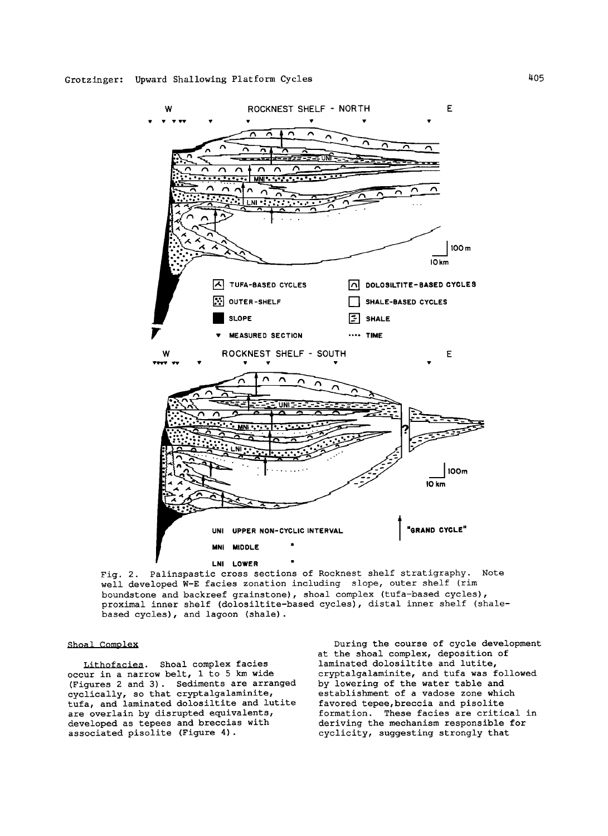

**Fig. 2. Palinspastic cross sections of Rocknest shelf stratigraphy. Note well developed W-E facies zonation including slope, outer shelf (rim boundstone and backreef grainstone), shoal complex (tufa-based cycles), proximal inner shelf (dolosiltite-based cycles), distal inner shelf (shalebased cycles), and lagoon (shale) .** 

occur in a narrow belt, 1 to 5 km wide cryptalgalaminite, and tufa was fol<br>(Figures 2 and 3). Sediments are arranged by lowering of the water table and **(Figures 2 and 3). Sediments are arranged by lowering of the water table and**  cyclically, so that cryptalgalaminite, establishment of a vadose zone which tufa, and laminated dolosiltite and lutite **and all interpolenty** *favored* tepee, breccia and pisolite tufa, and laminated dolosiltite and lutite are overlain by disrupted equivalents, developed as tepees and breccias with associated pisolite (Figure 4).

**Shoal Complex \_ During the course of cycle development at the shoal complex, deposition of Lithofacies. Shoal complex facies laminated dolosiltite and lutite,**  formation. These facies are critical in deriving the mechanism responsible for cyclicity, suggesting strongly that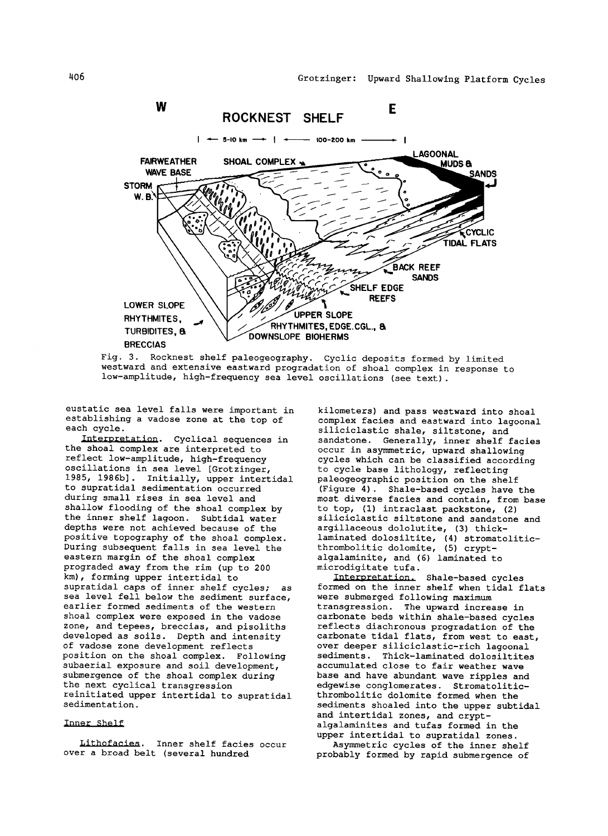

**Fig. 3. Rocknest shelf paleogeography. Cyclic deposits formed by limited westward and extensive eastward progradation of shoal complex in response to low-amplitude, high-frequency sea level oscillations (see text).** 

**eustatic sea level falls were important in establishing a vadose zone at the top of each cycle.** 

**Interpretation. Cyclical sequences in the shoal complex are interpreted to reflect low-amplitude, high-frequency oscillations in sea level [Grotzinger, 1985, 1986b]. Initially, upper intertidal to supratidal sedimentation occurred during small rises in sea level and shallow flooding of the shoal complex by the inner shelf lagoon. Subtidal water depths were not achieved because of the positive topography of the shoal complex. During subsequent falls in sea level the eastern margin of the shoal complex prograded away from the rim (up to 200 km), forming upper intertidal to supratidal caps of inner shelf cycles; as sea level fell below the sediment surface, earlier formed sediments of the western shoal complex were exposed in the vadose zone, and tepees, breccias, and pisoliths developed as soils. Depth and intensity of vadose zone development reflects position on the shoal complex. Following subaerial exposure and soil development, submergence of the shoal complex during the next cyclical transgression reinitiated upper intertidal to supratidal sedimentation.** 

## **Inner Shelf**

**Lithofacies. Inner shelf facies occur over a broad belt (several hundred** 

**kilometers) and pass westward into shoal complex facies and eastward into lagoonal siliciclastic shale, siltstone, and sandstone. Generally, inner shelf facies occur in asymmetric, upward shallowing cycles which can be classified according to cycle base lithology, reflecting paleogeographic position on the shelf (Figure 4). Shale-based cycles have the most diverse facies and contain, from base to top, (1) intraclast packstone, (2) siliciclastic siltstone and sandstone and argillaceous dololutite, (3) thick-**Laminated dolosiltite**,** (4) stromatoli **thrombolitic dolomite, (5) cryptalgalaminite, and (6) laminated to microdigitate tufa.** 

**Interpretation. Shale-based cycles formed on the inner shelf when tidal flats were submerged following maximum transgression. The upward increase in carbonate beds within shale-based cycles reflects diachronous progradation of the carbonate tidal flats, from west to east, over deeper siliciclastic-rich lagoonal sediments. Thick-laminated dolosiltites accumulated close to fair weather wave base and have abundant wave ripples and edgewise conglomerates. Stromatoliticthrombolitic dolomite formed when the sediments shoaled into the upper subtidal and intertidal zones, and cryptalgalaminites and tufas formed in the upper intertidal to supratidal zones.** 

**Asymmetric cycles of the inner shelf probably formed by rapid submergence of**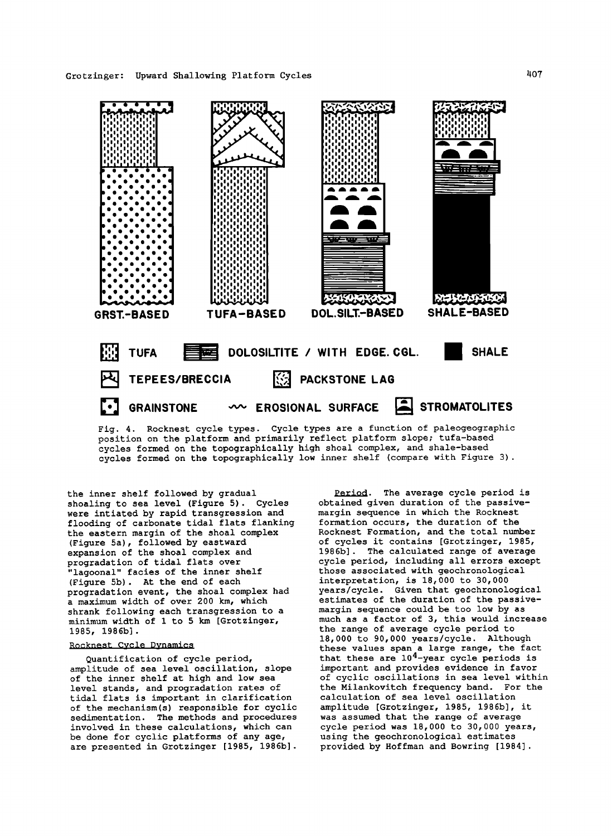

**Fig. 4. Rocknest cycle types. Cycle types are a function of paleogeographic position on the platform and primarily reflect platform slope; tufa-based cycles formed on the topographically high shoal complex, and shale-based cycles formed on the topographically low inner shelf (compare with Figure 3).** 

**the inner shelf followed by gradual shoaling to sea level (Figure 5). Cycles were intiated by rapid transgression and flooding of carbonate tidal flats flanking the eastern margin of the shoal complex (Figure 5a), followed by eastward expansion of the shoal complex and progradation of tidal flats over "lagoonal" facies of the inner shelf (Figure 5b). At the end of each progradation event, the shoal complex had a maximum width of over 200 km, which shrank following each transgression to a minimum width of 1 to 5 km [Grotzinger, 1985, 1986b] .** 

# **Rocknest Cycle Dynamics**

**Quantification of cycle period, amplitude of sea level oscillation, slope of the inner shelf at high and low sea level stands, and progradation rates of tidal flats is important in clarification of the mechanism(s) responsible for cyclic sedimentation. The methods and procedures involved in these calculations, which can be done for cyclic platforms of any age, are presented in Grotzinger [1985, 1986b].** 

**Period. The average cycle period is obtained given duration of the passivemargin sequence in which the Rocknest formation occurs, the duration of the Rocknest Formation, and the total number of cycles it contains [Grotzinger, 1985, 1986b]. The calculated range of average cycle period, including all errors except those associated with geochronological interpretation, is 18,000 to 30,000 years/cycle. Given that geochronological estimates of the duration of the passivemargin sequence could be too low by as much as a factor of 3, this would increase the range of average cycle period to 18,000 to 90,000 years/cycle. Although these values span a large range, the fact that these are 104-year cycle periods is important and provides evidence in favor of cyclic oscillations in sea level within the Milankovitch frequency band. For the calculation of sea level oscillation amplitude [Grotzinger, 1985, 1986b], it was assumed that the range of average cycle period was 18,000 to 30,000 years, using the geochronological estimates provided by Hoffman and Bowring [1984].**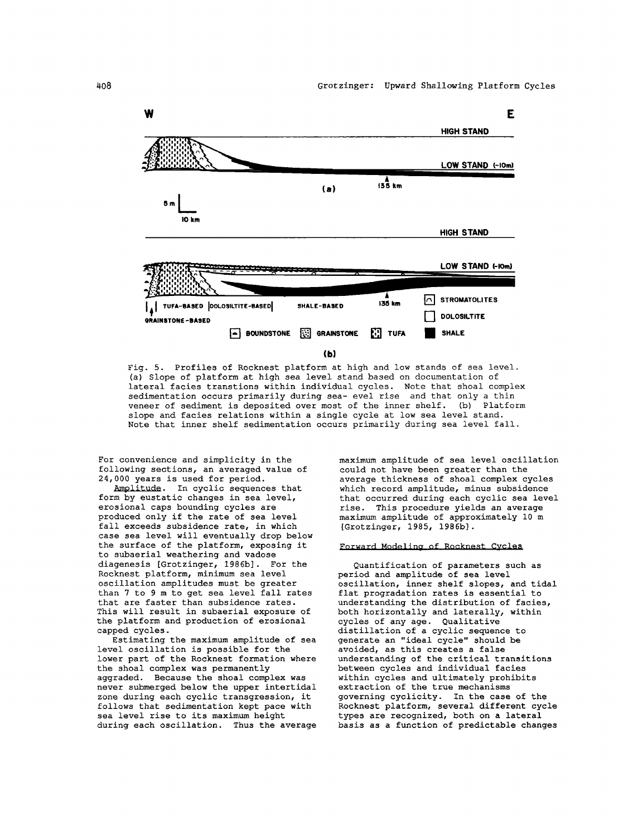

**Fig. 5. Profiles of Rocknest platform at high and low stands of sea level. (a) Slope of platform at high sea level stand based on documentation of lateral facies transtions within individual cycles. Note that shoal complex sedimentation occurs primarily during sea- evel rise and that only a thin veneer of sediment is deposited over most of the inner shelf. (b) Platform slope and facies relations within a single cycle at low sea level stand. Note that inner shelf sedimentation occurs primarily during sea level fall.** 

**For convenience and simplicity in the following sections, an averaged value of 24,000 years is used for period.** 

**Amplitude. In cyclic sequences that form by eustatic changes in sea level, erosional caps bounding cycles are produced only if the rate of sea level fall exceeds subsidence rate, in which case sea level will eventually drop below the surface of the platform, exposing it to subaerial weathering and vadose aliagenesis [Grotzinger, 1986b]. For the Rocknest platform, minimum sea level oscillation amplitudes must be greater than 7 to 9 m to get sea level fall rates that are faster than subsidence rates. This will result in subaerial exposure of the platform and production of erosional capped cycles.** 

**Estimating the maximum amplitude of sea level oscillation is possible for the lower part of the Rocknest formation where the shoal complex was permanently aggraded. Because the shoal complex was never submerged below the upper intertidal zone during each cyclic transgression, it follows that sedimentation kept pace with sea level rise to its maximum height during each oscillation. Thus the average**  **maximum amplitude of sea level oscillation could not have been greater than the average thickness of shoal complex cycles which record amplitude, minus subsidence that occurred during each cyclic sea level rise. This procedure yields an average maximum amplitude of approximately 10 m [Grotzinger, 1985, 1986b].** 

## **Forward Modelina of Rocknest Cycles \_ \_**

**Quantification of parameters such as period and amplitude of sea level oscillation, inner shelf slopes, and tidal flat progradation rates is essential to understanding the distribution of facies, both horizontally and laterally, within cycles of any age. Qualitative distillation of a cyclic sequence to generate an "ideal cycle" should be avoided, as this creates a false understanding of the critical transitions between cycles and individual facies within cycles and ultimately prohibits extraction of the true mechanisms governing cyclicity. In the case of the Rocknest platform, several different cycle types are recognized, both on a lateral basis as a function of predictable changes**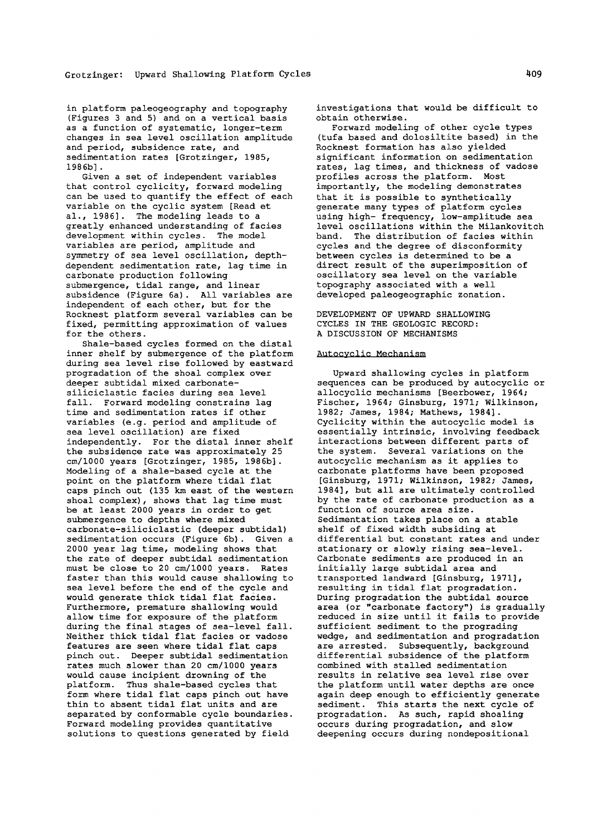**in platform paleogeography and topography (Figures 3 and 5) and on a vertical basis as a function of systematic, longer-term changes in sea level oscillation amplitude and period, subsidence rate, and sedimentation rates [Grotzinger, 1985, 1986b].** 

**Given a set of independent variables that control cyclicity, forward modeling can be used to quantify the effect of each variable on the cyclic system [Read et al., 1986]. The modeling leads to a greatly enhanced understanding of facies development within cycles. The model variables are period, amplitude and symmetry of sea level oscillation, depthdependent sedimentation rate, lag time in carbonate production following submergence, tidal range, and linear subsidence (Figure 6a). All variables are independent of each other, but for the Rocknest platform several variables can be fixed, permitting approximation of values for the others.** 

**Shale-based cycles formed on the distal inner shelf by submergence of the platform during sea level rise followed by eastward progradation of the shoal complex over deeper subtidal mixed carbonatesiliciclastic facies during sea level fall. Forward modeling constrains lag time and sedimentation rates if other variables (e.g. period and amplitude of sea level oscillation) are fixed independently. For the distal inner shelf the subsidence rate was approximately 25 cm/1000 years [Grotzinger, 1985, 1986b]. Modeling of a shale-based cycle at the point on the platform where tidal flat caps pinch out (135 km east of the western shoal complex), shows that lag time must be at least 2000 years in order to get submergence to depths where mixed carbonate-siliciclastic (deeper subtidal) sedimentation occurs (Figure 6b). Given a 2000 year lag time, modeling shows that the rate of deeper subtidal sedimentation must be close to 20 cm/1000 years. Rates faster than this would cause shallowing to sea level before the end of the cycle and would generate thick tidal flat facies. Furthermore, premature shallowing Would allow time for exposure of the platform during the final stages of sea-level fall. Neither thick tidal flat facies or vadose features are seen where tidal flat caps pinch out. Deeper subtidal sedimentation rates much slower than 20 cm/1000 years would cause incipient drowning of the platform. Thus shale-based cycles that form where tidal flat caps pinch out have thin to absent tidal flat units and are separated by conformable cycle boundaries. Forward modeling provides quantitative solutions to questions generated by field** 

**investigations that would be difficult to obtain otherwise.** 

**Forward modeling of other cycle types (tufa based and dolosiltite based) in the Rocknest formation has also yielded significant information on sedimentation rates, lag times, and thickness of vadose profiles across the platform. Most importantly, the modeling demonstrates that it is possible to synthetically generate many types of platform cycles using high- frequency, low-amplitude sea level oscillations within the Milankovitch band. The distribution of facies within cycles and the degree of disconformity between cycles is determined to be a direct result of the superimposition of oscillatory sea level on the variable topography associated with a well developed paleogeographic zonation.** 

**DEVELOPMENT OF UPWARD SHALLOWING CYCLES IN THE GEOLOGIC RECORD: A DISCUSSION OF MECHANISMS** 

#### **Autocyclic Mechanism**

**Upward shallowing cycles in platform sequences can be produced by autocyclic or allocyclic mechanisms [Beerbower, 1964; Fischer, 1964; Ginsburg, 1971; Wilkinson, 1982; James, 1984; Mathews, 1984]. Cyclicity within the autocyclic model is essentially intrinsic, involving feedback interactions between different parts of the system. Several variations on the autocyclic mechanism as it applies to carbonate platforms have been proposed [Ginsburg, 1971; Wilkinson, 1982; James, 1984], but all are ultimately controlled by the rate of carbonate production as a function of source area size. Sedimentation takes place on a stable shelf of fixed width subsiding at differential but constant rates and under stationary or slowly rising sea-level. Carbonate sediments are produced in an initially large subtidal area and transported landward [Ginsburg, 1971], resulting in tidal flat progradation. During progradation the subtidal source area (or "carbonate factory") is gradually reduced in size until it fails to provide sufficient sediment to the prograding wedge, and sedimentation and progradation are arrested. Subsequently, background differential subsidence of the platform combined with stalled sedimentation results in relative sea level rise over the platform until water depths are once again deep enough to efficiently generate sediment. This starts the next cycle of progradation. As such, rapid shoaling occurs during progradation, and slow deepening occurs during nondepositional**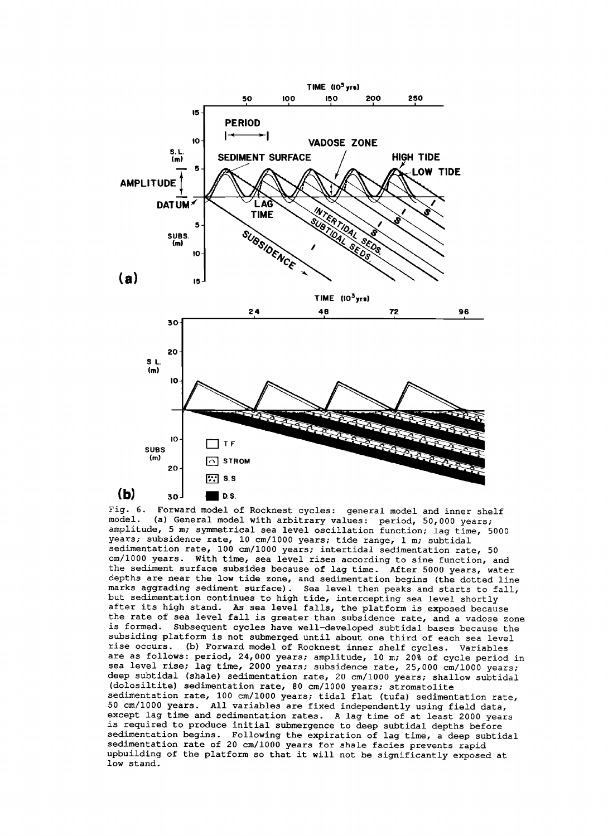

**Fig. 6. Forward model of Rocknest cycles: general model and inner shelf model. (a) General model with arbitrary values: period, 50,000 years; amplitude, 5 m; symmetrical sea level oscillation function; lag time, 5000 years; subsidence rate, 10 cm/1000 years; tide range, 1 m; subtidal sedimentation rate, 100 cm/1000 years; intertidal sedimentation rate, 50 cm/1000 years. With time, sea level rises according to sine function, and the sediment surface subsides because of lag time. After 5000 years, water depths are near the low tide zone, and sedimentation begins (the dotted line marks aggrading sediment surface). Sea level then peaks and starts to fall, but sedimentation continues to high tide, intercepting sea level shortly after its high stand. As sea level falls, the platform is exposed because the rate of sea level fall is greater than subsidence rate, and a vadose zone is formed. Subsequent cycles have well-developed subtidal bases because the subsiding platform is not submerged until about one third of each sea level rise occurs. (b) Forward model of Rocknest inner shelf cycles. Variables**  are as follows: period, 24,000 years; amplitude, 10 m; 20% of cycle period in **sea level rise; lag time, 2000 years; subsidence rate, 25,000 cm/1000 years; deep subtidal (shale) sedimentation rate, 20 cm/1000 years; shallow subtidal (dolosiltite) sedimentation rate, 80 cm/1000 years; stromatolite sedimentation rate, 100 cm/1000 years; tidal flat (tufa) sedimentation rate, 50 cm/1000 years. All variables are fixed independently using field data, except lag time and sedimentation rates. A lag time of at least 2000 years is required to produce initial submergence to deep subtidal depths before sedimentation begins. Following the expiration of lag time, a deep subtidal sedimentation rate of 20 cm/1000 years for shale facies prevents rapid upbuilding of the platform so that it will not be significantly exposed at low stand.**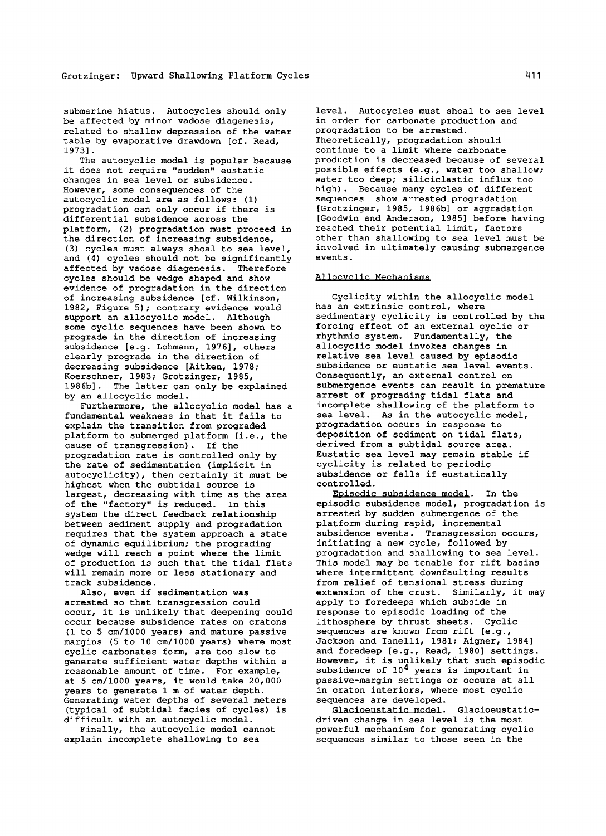**submarine hiatus. Autocycles should only be affected by minor vadose diagenesis, related to shallow depression of the water table by evaporative drawdown [cf. Read, 1973].** 

**The autocyclic model is popular because it does not require "sudden" eustatic changes in sea level or subsidence. However, some consequences of the autocyclic model are as follows: (1) progradation can only occur if there is differential subsidence across the platform, (2) progradation must proceed in the direction of increasing subsidence, (3) cycles must always shoal to sea level, and (4) cycles should not be significantly affected by vadose diagenesis. Therefore cycles should be wedge shaped and show evidence of progradation in the direction of increasing subsidence [cf. Wilkinson, 1982, Figure 5); contrary evidence would support an allocyclic model. Although some cyclic sequences have been shown to prograde in the direction of increasing subsidence [e.g. Lohmann, 1976], others clearly prograde in the direction of decreasing subsidence [Aitken, 1978; Koerschner, 1983; Grotzinger, 1985, 1986b]. The latter can only be explained by an allocyclic model.** 

**Furthermore, the allocyclic model has a fundamental weakness in that it fails to explain the transition from prograded platform to submerged platform (i.e., the cause of transgression). If the progradation rate is controlled only by the rate of sedimentation (implicit in autocyclicity), then certainly it must be highest when the subtidal source is largest, decreasing with time as the area of the "factory" is reduced. In this system the direct feedback relationship between sediment supply and progradation requires that the system approach a state of dynamic equilibrium; the prograding wedge will reach a point where the limit of production is such that the tidal flats will remain more or less stationary and track subsidence.** 

**Also, even if sedimentation was arrested so that transgression could occur, it is unlikely that deepening could occur because subsidence rates on cratons (1 to 5 cm/1000 years) and mature passive margins (5 to 10 cm/1000 years) where most cyclic carbonates form, are too slow to generate sufficient water depths within a reasonable amount of time. For example, at 5 cm/1000 years, it would take 20,000 years to generate 1 m of water depth. Generating water depths of several meters (typical of subtidal facies of cycles) is difficult with an autocyclic model.** 

**Finally, the autocyclic model cannot explain incomplete shallowing to sea** 

**level. Autocycles must shoal to sea level in order for carbonate production and progradation to be arrested. Theoretically, progradation should continue to a limit where carbonate production is decreased because of several possible effects (e.g., water too shallow; water too deep; siliciclastic influx too high). Because many cycles of different sequences show arrested progradation [Grotzinger, 1985, 1986b] or aggradation [Goodwin and Anderson, 1985] before having reached their potential limit, factors other than shallowing to sea level must be involved in ultimately causing submergence events.** 

# **Allocvclic Mechanisms**

**Cyclicity within the allocyclic model has an extrinsic control, where sedimentary cyclicity is controlled by the forcing effect of an external cyclic or rhythmic system. Fundamentally, the allocyclic model invokes changes in relative sea level caused by episodic subsidence or eustatic sea level events. Consequently, an external control on submergence events can result in premature arrest of prograding tidal flats and incomplete shallowing of the platform to sea level. As in the autocyclic model, progradation occurs in response to deposition of sediment on tidal flats, derived from a subtidal source area. Eustatic sea level may remain stable if cyclicity is related to periodic subsidence or falls if eustatically controlled.** 

**Emisodic subsidence model. In the \_ episodic subsidence model, progradation is arrested by sudden submergence of the platform during rapid, incremental subsidence events. Transgression occurs, initiating a new cycle, followed by progradation and shallowing to sea level. This model may be tenable for rift basins where intermittant downfaulting results from relief of tensional stress during extension of the crust. Similarly, it may apply to foredeeps which subside in response to episodic loading of the lithosphere by thrust sheets. Cyclic sequences are known from rift [e.g., Jackson and Ianelli, 1981; Aigner, 1984] and foredeep [e.g., Read, 1980] settings. However, it is unlikely that such episodic subsidence of 104 years is important in passive-margin settings or occurs at all in craton interiors, where most cyclic sequences are developed.** 

**Glacioeustatic model. Glacioeustaticdriven change in sea level is the most powerful mechanism for generating cyclic sequences similar to those seen in the**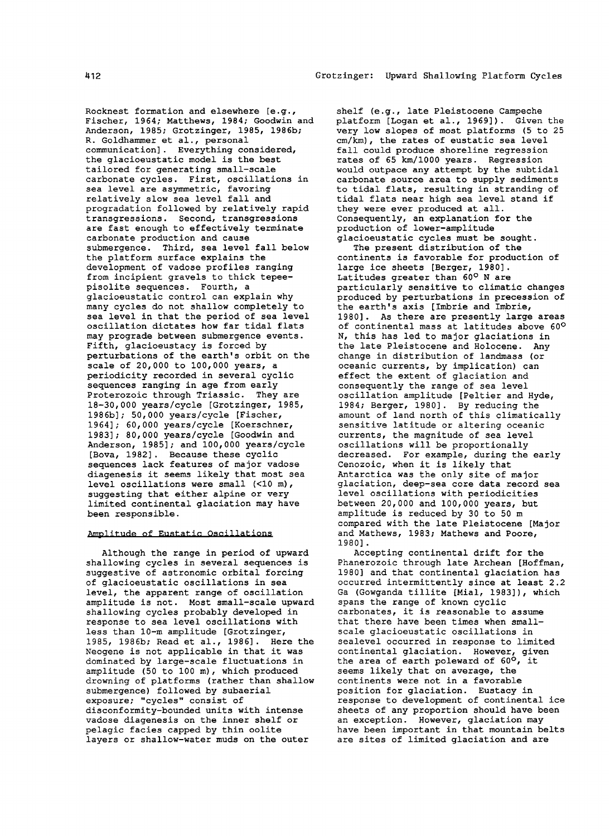**Rocknest formation and elsewhere [e.g., Fischer, 1964; Matthews, 1984; Goodwin and Anderson, 1985; Grotzinger, 1985, 1986b; R. Goldhammer et al., personal communication] . Everything considered, the glacioeustatic model is the best tailored for generating small-scale carbonate cycles. First, oscillations in sea level are asymmetric, favoring relatively slow sea level fall and progradation followed by relatively rapid transgressions. Second, transgressions are fast enough to effectively terminate carbonate production and cause submergence. Third, sea level fall below the platform surface explains the development of vadose profiles ranging from incipient gravels to thick tepeepisolite sequences. Fourth, a glacioeustatic control can explain why many cycles do not shallow completely to sea level in that the period of sea level oscillation dictates how far tidal flats may prograde between submergence events. Fifth, glacioeustacy is forced by perturbations of the earth's orbit on the scale of 20,000 to 100,000 years, a periodicity recorded in several cyclic sequences ranging in age from early Proterozoic through Triassic. They are 18-30,000 years/cycle [Grotzinger, 1985, 1986b]; 50,000 years/cycle [Fischer, 1964]; 60,000 years/cycle [Koerschner, 1983]; 80,000 years/cycle [Goodwin and Anderson, 1985]; and 100,000 years/cycle [Bova, 1982] . Because these cyclic sequences lack features of major vadose diagenesis it seems likely that most sea level oscillations were small (<10 m), suggesting that either alpine or very limited continental glaciation may have been responsible.** 

# **Amp!itud• of Eustatic Oscillations**

**Although the range in period of upward shallowing cycles in several sequences is suggestive of astronomic orbital forcing of glacioeustatic oscillations in sea level, the apparent range of oscillation amplitude is not. Most small-scale upward shallowing cycles probably developed in response to sea level oscillations with less than 10-m amplitude [Grotzinger, 1985, 1986b; Read et al., 1986]. Here the Neogene is not applicable in that it was dominated by large-scale fluctuations in amplitude (50 to 100 m), which produced drowning of platforms (rather than shallow submergence) followed by subaerial exposure; "cycles" consist of disconformity-bounded units with intense vadose diagenesis on the inner shelf or pelagic facies capped by thin oolite layers or shallow-water muds on the outer** 

**shelf (e.g., late Pleistocene Campeche platform [Logan et al., 1969]). Given the very low slopes of most platforms (5 to 25 cm/km), the rates of eustatic sea level fall could produce shoreline regression rates of 65 km/1000 years. Regression would outpace any attempt by the subtidal carbonate source area to supply sediments to tidal flats, resulting in stranding of tidal flats near high sea level stand if they were ever produced at all. Consequently, an explanation for the production of lower-amplitude glacioeustatic cycles must be sought.** 

**The present distribution of the continents is favorable for production of large ice sheets [Berger, 1980].**  Latitudes greater than 60° N are **particularly sensitive to climatic changes produced by perturbations in precession of**  the earth's axis [Imbrie and Imbrie, **1980]. As there are presently large areas**  of continental mass at latitudes above 60<sup>°</sup> **N, this has led to major glaciations in the late Pleistocene and Holocene. Any change in distribution of landmass (or oceanic currents, by implication) can effect the extent of glaciation and consequently the range of sea level oscillation amplitude [Peltier and Hyde, 1984; Berger, 1980]. By reducing the amount of land north of this climatically sensitive latitude or altering oceanic currents, the magnitude of sea level oscillations will be proportionally decreased. For example, during the early Cenozoic, when it is likely that Antarctica was the only site of major glaciation, deep-sea core data record sea level oscillations with periodicities between 20,000 and 100,000 years, but amplitude is reduced by 30 to 50 m compared with the late Pleistocene [Major and Mathews, 1983; Mathews and Poore, 1980].** 

**Accepting continental drift for the Phanerozoic through late Archean [Hoffman, 1980] and that continental glaciation has occurred intermittently since at least 2.2 Ga (Gowganda tillite [Mial, 1983]), which spans the range of known cyclic carbonates, it is reasonable to assume that there have been times when smallscale glacioeustatic oscillations in sealevel occurred in response to limited continental glaciation. However, given the area of earth poleward of 60 ¸ it seems likely that on average, the continents were not in a favorable position for glaciation. Eustacy in response to development of continental ice sheets of any proportion should have been an exception. However, glaciation may**  have been important in that mountain belt **are sites of limited glaciation and are**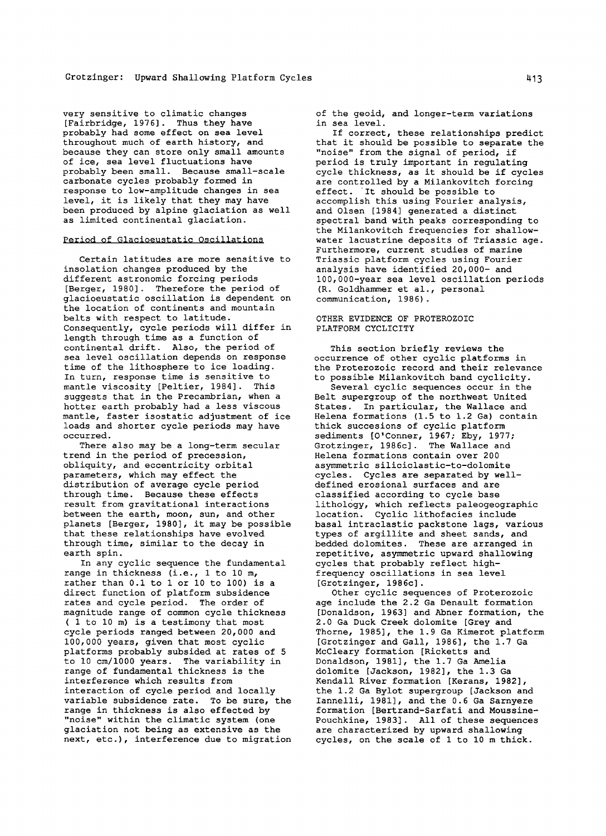**very sensitive to climatic changes [Fairbridge, 1976]. Thus they have probably had some effect on sea level throughout much of earth history, and because they can store only small amounts of ice, sea level fluctuations have probably been small. Because small-scale carbonate cycles probably formed in response to low-amplitude changes in sea level, it is likely that they may have been produced by alpine glaciation as well as limited continental glaciation.** 

## **Period of Glacioeustatic Oscillations**

**Certain latitudes are more sensitive to insolation changes produced by the different astronomic forcing periods [Berger, 1980]. Therefore the period of glacioeustatic oscillation is dependent on the location of continents and mountain belts with respect to latitude. Consequently, cycle periods will differ in length through time as a function of continental drift. Also, the period of sea level oscillation depends on response time of the lithosphere to ice loading. In turn, response time is sensitive to mantle viscosity [Peltier, 1984]. This suggests that in the Precambrian, when a hotter earth probably had a less viscous mantle, faster isostatic adjustment of ice loads and shorter cycle periods may have occurred.** 

**There also may be a long-term secular trend in the period of precession, obliquity, and eccentricity orbital parameters, which may effect the distribution of average cycle period through time. Because these effects result from gravitational interactions between the earth, moon, sun, and other planets [Berger, 1980], it may be possible that these relationships have evolved through time, similar to the decay in earth spin.** 

**In any cyclic sequence the fundamental range in thickness (i.e., 1 to 10 m, rather than 0.1 to 1 or 10 to 100) is a direct function of platform subsidence rates and cycle period. The order of magnitude range of common cycle thickness ( 1 to 10 m) is a testimony that most cycle periods ranged between 20,000 and 100,000 years, given that most cyclic platforms probably subsided at rates of 5 to 10 cm/1000 years. The variability in range of fundamental thickness is the interference which results from interaction of cycle period and locally variable subsidence rate. To be sure, the range in thickness is also effected by "noise" within the climatic system (one glaciation not being as extensive as the next, etc.), interference due to migration**  **of the geoid, and longer-term variations in sea level.** 

**If correct, these relationships predict that it should be possible to separate the "noise" from the signal of period, if period is truly important in regulating cycle thickness, as it should be if cycles**  are controlled by a Milankovitch forcing<br>effect. It should be possible to **accomplish this using Fourier analysis, and Olsen [1984] generated a distinct spectral band with peaks corresponding to the Milankovitch frequencies for shallowwater lacustrine deposits of Triassic age. Furthermore, current studies of marine Triassic platform cycles using Fourier analysis have identified 20,000- and 100,000-year sea level oscillation periods (R. Goldhammer et al., personal communication, 1986).** 

## **OTHER EVIDENCE OF PROTEROZOIC PLATFORM CYCLICITY**

**This section briefly reviews the occurrence of other cyclic platforms in the Proterozoic record and their relevance to possible Milankovitch band cyclicity.** 

**Several cyclic sequences occur in the Belt supergroup of the northwest United States. In particular, the Wallace and Helena formations (1.5 to 1.2 Ga) contain thick succesions of cyclic platform sediments [O'Conner, 1967; Eby, 1977; Grotzinger, 1986c]. The Wallace and Helena formations contain over 200 asymmetric siliciclastic-to-dolomite cycles. Cycles are separated by welldefined erosional surfaces and are classified according to cycle base**  lithology, which reflects paleogeographic **location. Cyclic lithofacies include basal intraclastic packstone lags, various types of argillite and sheet sands, and bedded dolomites. These are arranged in repetitive, asymmetric upward shallowing cycles that probably reflect highfrequency oscillations in sea level [Grotzinger, 1986c].** 

**Other cyclic sequences of Proterozoic age include the 2.2 Ga Denault formation [Donaldson, 1963] and Abner formation, the 2.0 Ga Duck Creek dolomite [Grey and Thorne, 1985], the 1.9 Ga Kimerot platform [Grotzinger and Gall, 1986], the 1.7 Ga McCleary formation [Ricketts and Donaldson, 1981], the 1.7 Ga Amelia dolomite [Jackson, 1982], the 1.3 Ga Kendall River formation [Kerans, 1982], the 1.2 Ga Bylot supergroup [Jackson and Iannelli, 1981], and the 0.6 Ga Sarnyere formation [Bertrand-Sarfati and Moussine-Pouchkine, 1983]. All of these sequences are characterized by upward shallowing cycles, on the scale of 1 to 10 m thick.**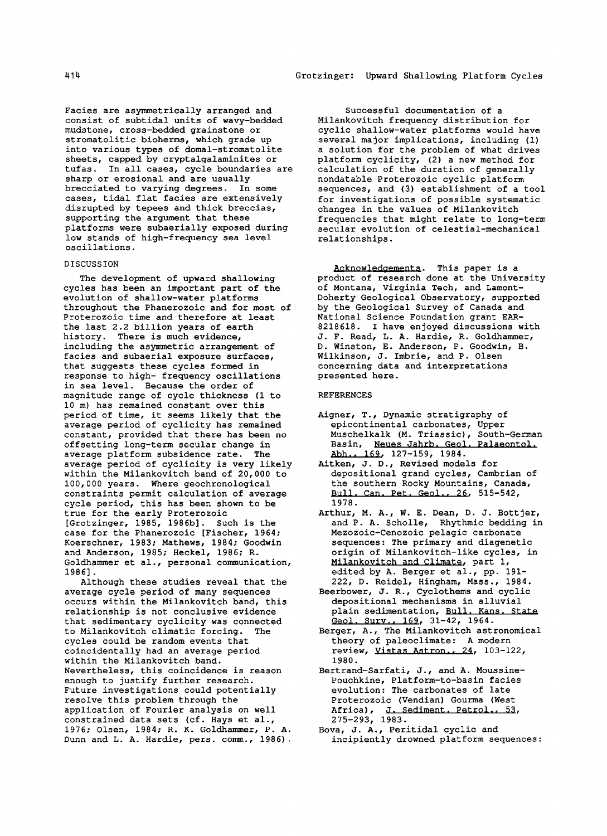**Facies are asymmetrically arranged and consist of subtidal units of wavy-bedded mudstone, cross-bedded grainstone or stromatolitic bioherms, which grade up into various types of domal-stromatolite sheets, capped by cryptalgalaminites or tufas. In all cases, cycle boundaries are sharp or erosional and are usually brecciated to varying degrees. In some cases, tidal flat facies are extensively disrupted by tepees and thick breccias, supporting the argument that these platforms were subaerially exposed during low stands of high-frequency sea level oscillations.** 

# **DISCUSSION**

**The development of upward shallowing cycles has been an important part of the evolution of shallow-water platforms throughout the Phanerozoic and for most of Proterozoic time and therefore at least the last 2.2 billion years of earth history. There is much evidence, including the asymmetric arrangement of facies and subaerial exposure surfaces, that suggests these cycles formed in response to high- frequency oscillations in sea level. Because the order of magnitude range of cycle thickness (1 to t0 m) has remained constant over this period of time, it seems likely that the average period of cyclicity has remained constant, provided that there has been no offsetting long-term secular change in average platform subsidence rate. The average period of cyclicity is very likely within the Milankovitch band of 20,000 to t00,000 years. Where geochronological constraints permit calculation of average cycle period, this has been shown to be true for the early Proterozoic [Grotzinger, 1985, 1986b]. Such is the case for the Phanerozoic [Fischer, 1964; Koerschner, 1983; Mathews, 1984; Goodwin and Anderson, 1985; Heckel, 1986; R.**  Goldhammer et al., personal communicatio **1986].** 

**Although these studies reveal that the average cycle period of many sequences occurs within the Milankovitch band, this relationship is not conclusive evidence that sedimentary cyclicity was connected to Milankovitch climatic forcing. The cycles could be random events that coincidentally had an average period within the Milankovitch band. Nevertheless, this coincidence is reason enough to justify further research. Future investigations could potentially resolve this problem through the application of Fourier analysis on well constrained data sets (cf. Hays et al., 1976; Olsen, 1984; R. K. Goldhammer, P. A. Dunn and L. A. Hardie, pets. comm., 1986).** 

**Successful documentation of a Milankovitch frequency distribution for cyclic shallow-water platforms would have several major implications, including (1) a solution for the problem of what drives platform cyclicity, (2) a new method for calculation of the duration of generally nondatable Proterozoic cyclic platform sequences, and (3) establishment of a tool for investigations of possible systematic changes in the values of Milankovitch frequencies that might relate to long-term secular evolution of celestial-mechanical relationships.** 

**Acknowledgements. This paper is a product of research done at the University of Montana, Virginia Tech, and Lamont-Doherty Geological Observatory, supported by the Geological Survey of Canada and National Science Foundation grant EAR-8218618. I have enjoyed discussions with J. F. Read, L. A. Hardie, R. Goldhammer, D. Winston, E. Anderson, P. Goodwin, B. Wilkinson, J. Imbrie, and P. Olsen concerning data and interpretations presented here.** 

### **REFERENCES**

- **Aigner, T., Dynamic stratigraphy of epicontinental carbonates, Upper Muschelkalk (M. Triassic), South-German Basin, Neues Jahrb. Geol. Palaeontol. Abh.. 169, 127-159, 1984.**
- **Aitken, J. D., Revised models for depositional grand cycles, Cambrian of the southern Rocky Mountains, Canada, Bull. Can. Pet. Geol.• 26, 515-542, 1978.**
- **Arthur, M. A., W. E. Dean, D. J. Bottjer, and P. A. Scholle, Rhythmic bedding in Mezozoic-Cenozoic pelagic carbonate sequences: The primary and diagenetic origin of Milankovitch-like cycles, in Milankovitch and Climate, part t, edited by A. Berger et al., pp. 191-**
- **222, D. Reidel, Hingham, Mass., 1984.**  Beerbower, J. R., Cyclothems and cycli **depositional mechanisms in alluvial plain sedimentation, Bull. Kans. State Geol. Surv., 169, 31-42, 1964.**
- **Berger, A., The Milankovitch astronomical theory of paleoclimate: A modern review, Vistas Astron.• 24, 103-122, 1980.**
- **Bertrand-Sarfati, J., and A. Moussine-Pouchkine, Platform-to-basin facies evolution: The carbonates of late Proterozoic (Vendian) Gourma (West Africa), J, Sediment. Petrol., 53, 275-293, 1983.**

**Bova, J. A., Peritidal cyclic and incipiently drowned platform sequences:**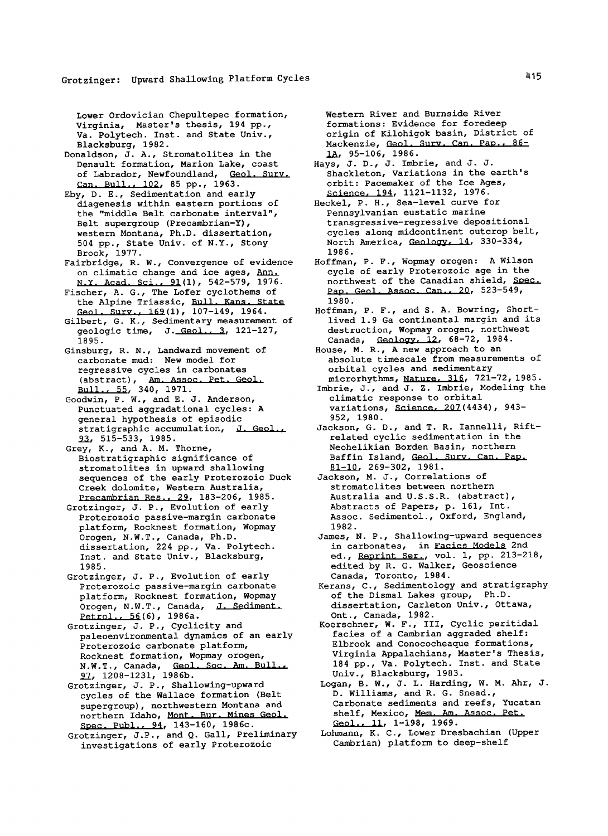**Lower Ordovician Chepultepec formation, Virginia, Master's thesis, 194 pp., Va. Polytech. Inst. and State Univ., Blacksburg, 1982.** 

- **Donaldson, J. A., Stromatolites in the Denault formation, Marion Lake, coast of Labrador, Newfoundland, Geol. Surv. Can. Bull.; 102, 85 pp., 1963.**
- **Eby, D. E., Sedimentation and early diagenesis within eastern portions of the "middle Belt carbonate interval", Belt supergroup (Precambrian-Y), western Montana, Ph.D. dissertation, 504 pp., State Univ. of N.Y., Stony Brook, 1977.**
- **Fairbridge, R. W., Convergence of evidence Hoffman, P. F., Wopmay orogen: A Wilson**  on climatic change and ice ages, Ann. **N.Y. Acad. Sci.. 91(1), 542-579, 1976.**
- **Fischer, A. G., The Lofer cyclothems of the Alpine Triassic, Bull. Kans. State Geol. Surv.; 169(1), 107-149, 1964.**
- **Gilbert, G. K., Sedimentary measurement of geologic time, J. Geol.• 3, 121-127, 1895.**
- **Ginsburg, R. N., Landward movement of carbonate mud: New model for regressive cycles in carbonates (abstract), Am. Assoc. Pet. Geol. Bull.. 55, 340, 1971.**
- **Goodwin, P. W., and E. J. Anderson, Punctuated aggradational cycles: A general hypothesis of episodic stratigraphic accumulation, J. Geol.•. 93, 515-533, 1985.**
- **Grey, K., and A. M. Thorne, Biostratigraphic significance of stromatolites in upward shallowing sequences of the early Proterozoic Duck Creek dolomite, Western Australia, Precambrian Res.. 29, 183-206, 1985.**
- **Grotzinger, J. P., Evolution of early Proterozoic passive-margin carbonate platform, Rocknest formation, Wopmay Orogen, N.W.T., Canada, Ph.D. dissertation, 224 pp., Va. Polytech. Inst. and State Univ., Blacksburg, 1985.**
- **Grotzinger, J. P., Evolution of early Proterozoic passive-margin carbonate platform, Rocknest formation, Wopmay Orogen, N.W.T., Canada, J. Sediment. Petrol.. 56(6), 1986a.**
- **Grotzinger, J. P., Cyclicity and paleoenvironmental dynamics of an early Proterozoic carbonate platform, Rocknest formation, Wopmay orogen, N.W.T., Canada, Geol. Soc. Am. Bull.. 97, 1208-1231, 1986b.**
- **Grotzinger, J. P., Shallowing-upward cycles of the Wallace formation (Belt supergroup), northwestern Montana and northern Idaho, Mont. Bur. Mines Geol. Spec. Publ., 94, 143-160, 1986c.** Geol., 11, 1-198, 1969.<br><u>Islanda K. C. Journ Dres</u>
- **Grotzinger, J.P., and Q. Gall, Preliminary Lohmann, K. C., Lower Dresbachian (Upper**  investigations of early Proterozoic

**Western River and Burnside River formations: Evidence for foredeep origin of Kilohigok basin, District of Mackenzie, Geol. Surv. Can. Pap.. 86- 1A, 95-106, 1986.** 

- **Hays, J. D., J. Imbrie, and J. J. Shackleton, Variations in the earth's orbit: Pacemaker of the Ice Ages, Science• 194, 1121-1132, 1976.**
- **Heckel, P. H., Sea-level curve for Pennsylvanian eustatic marine t ransgres sive-regres sive depositional cycles along midcontinent outcrop belt, North America, Geoloqy•. 14, 330-334, 1986.**
- **northwest of the Canadian shield, Spec. Pap. Geol. Assoc. Can.; 20, 523-549, 1980.**
- **Hoffman, P. F., and S. A. Bowring, Shortlived 1.9 Ga continental margin and its destruction, Wopmay orogen, northwest Canada, Geoloq\_v. 12, 68-72, 1984.**
- **House, M. R., A new approach to an absolute timescale from measurements of orbital cycles and sedimentary**  microrhythms, Nature. 316, 721-72, 1985.
- **Imbrie, J., and J. Z. Imbrie, Modeling the climatic response to orbital variations, Science. 207(4434), 943- 952, 1980 .**
- **Jackson, G. D., and T. R. Iannelli, Riftrelated cyclic sedimentation in the Neohelikian Borden Basin, northern Baffin Island, Geol. Surv. Can. Pap. 81-10, 269-302, 1981.**
- **Jackson, M. J., Correlations of stromatolites between northern Australia and U.S.S.R. (abstract), Abstracts of Papers, p. 161, Int. Assoc. Sedimentol., Oxford, England, 1982.**
- **James, N. P., Shallowing-upward sequences in carbonates, in Facies Models 2nd ed., R•print Ser., vol. 1, pp. 213-218, edited by R. G. Walker, Geoscience Canada, Toronto, 1984.**
- **Kerans, C., Sedimentology and stratigraphy of the Dismal Lakes group, Ph.D. dissertation, Carleton Univ., Ottawa, Ont., Canada, 1982.**
- **Koerschner, W. F., III, Cyclic peritidal facies of a Cambrian aggraded shelf: Elbrook and Conococheaque formations, Virginia Appalachians, Master's Thesis, 184 pp., Va. Polytech. Inst. and State Univ., Blacksburg, 1983.**
- **Logan, B. W., J. L. Harding, W. M. Ahr, J. D. Williams, and R. G. Snead., Carbonate sediments and reefs, Yucatan shelf, Mexico, Mem. Am. Assoc. Pet.**
-